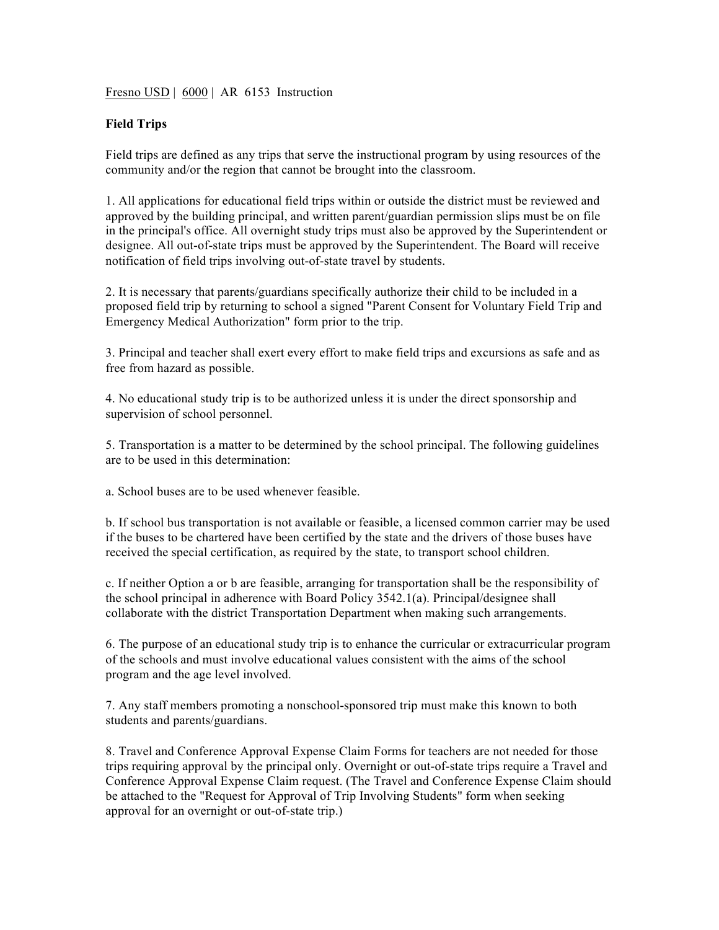Fresno USD | 6000 | AR 6153 Instruction

## **Field Trips**

Field trips are defined as any trips that serve the instructional program by using resources of the community and/or the region that cannot be brought into the classroom.

1. All applications for educational field trips within or outside the district must be reviewed and approved by the building principal, and written parent/guardian permission slips must be on file in the principal's office. All overnight study trips must also be approved by the Superintendent or designee. All out-of-state trips must be approved by the Superintendent. The Board will receive notification of field trips involving out-of-state travel by students.

2. It is necessary that parents/guardians specifically authorize their child to be included in a proposed field trip by returning to school a signed "Parent Consent for Voluntary Field Trip and Emergency Medical Authorization" form prior to the trip.

3. Principal and teacher shall exert every effort to make field trips and excursions as safe and as free from hazard as possible.

4. No educational study trip is to be authorized unless it is under the direct sponsorship and supervision of school personnel.

5. Transportation is a matter to be determined by the school principal. The following guidelines are to be used in this determination:

a. School buses are to be used whenever feasible.

b. If school bus transportation is not available or feasible, a licensed common carrier may be used if the buses to be chartered have been certified by the state and the drivers of those buses have received the special certification, as required by the state, to transport school children.

c. If neither Option a or b are feasible, arranging for transportation shall be the responsibility of the school principal in adherence with Board Policy 3542.1(a). Principal/designee shall collaborate with the district Transportation Department when making such arrangements.

6. The purpose of an educational study trip is to enhance the curricular or extracurricular program of the schools and must involve educational values consistent with the aims of the school program and the age level involved.

7. Any staff members promoting a nonschool-sponsored trip must make this known to both students and parents/guardians.

8. Travel and Conference Approval Expense Claim Forms for teachers are not needed for those trips requiring approval by the principal only. Overnight or out-of-state trips require a Travel and Conference Approval Expense Claim request. (The Travel and Conference Expense Claim should be attached to the "Request for Approval of Trip Involving Students" form when seeking approval for an overnight or out-of-state trip.)